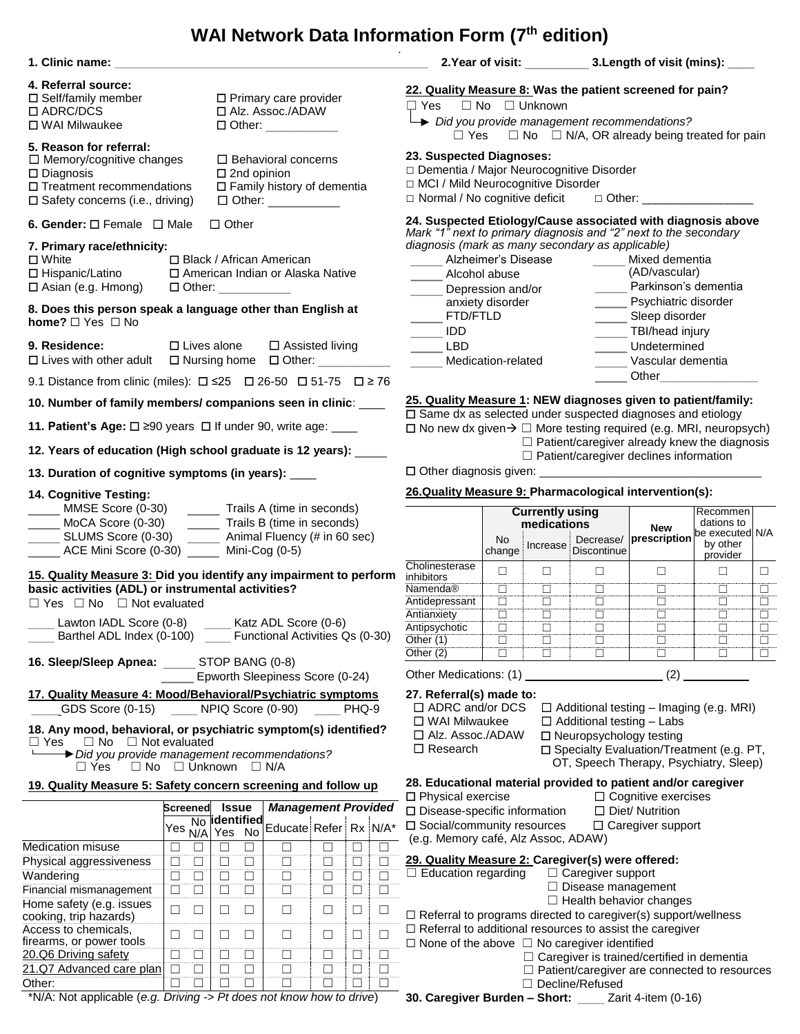## **WAI Network Data Information Form (7 th edition)**

| 1. Clinic name:                                                                                                                                                                                                                                                                                                | the control of the control of the control of the control of the control of                                                                                                                                                                                                                                                                |                                                                                                                                                     |                                                                                                                                                                           | 2. Year of visit: 3. Length of visit (mins): ___                                                                                                                                                                       |                                                                                                                                                                                                                                      |                                                    |                                                     |  |  |
|----------------------------------------------------------------------------------------------------------------------------------------------------------------------------------------------------------------------------------------------------------------------------------------------------------------|-------------------------------------------------------------------------------------------------------------------------------------------------------------------------------------------------------------------------------------------------------------------------------------------------------------------------------------------|-----------------------------------------------------------------------------------------------------------------------------------------------------|---------------------------------------------------------------------------------------------------------------------------------------------------------------------------|------------------------------------------------------------------------------------------------------------------------------------------------------------------------------------------------------------------------|--------------------------------------------------------------------------------------------------------------------------------------------------------------------------------------------------------------------------------------|----------------------------------------------------|-----------------------------------------------------|--|--|
| 4. Referral source:<br>$\square$ Self/family member<br>□ ADRC/DCS<br>□ WAI Milwaukee                                                                                                                                                                                                                           | $\square$ Primary care provider<br>□ Alz. Assoc./ADAW<br>$\Box$ Other: $\_\_\_\_\_\_\_\_\_\_\_\_\_\_$                                                                                                                                                                                                                                     |                                                                                                                                                     |                                                                                                                                                                           | 22. Quality Measure 8: Was the patient screened for pain?<br>$\Box$ No $\Box$ Unknown<br>□ Yes<br>Did you provide management recommendations?<br>$\Box$ No $\Box$ N/A, OR already being treated for pain<br>$\Box$ Yes |                                                                                                                                                                                                                                      |                                                    |                                                     |  |  |
| 5. Reason for referral:<br>$\Box$ Memory/cognitive changes<br>$\Box$ Behavioral concerns<br>$\square$ Diagnosis<br>$\square$ 2nd opinion<br>$\Box$ Treatment recommendations<br>$\Box$ Family history of dementia<br>$\square$ Safety concerns (i.e., driving)<br>$\Box$ Other: $\_\_\_\_\_\_\_\_\_\_\_\_\_\_$ |                                                                                                                                                                                                                                                                                                                                           |                                                                                                                                                     | 23. Suspected Diagnoses:<br>Dementia / Major Neurocognitive Disorder<br>□ MCI / Mild Neurocognitive Disorder<br>□ Normal / No cognitive deficit □ Other: ________________ |                                                                                                                                                                                                                        |                                                                                                                                                                                                                                      |                                                    |                                                     |  |  |
| 6. Gender: $\square$ Female $\square$ Male                                                                                                                                                                                                                                                                     | $\Box$ Other                                                                                                                                                                                                                                                                                                                              |                                                                                                                                                     |                                                                                                                                                                           | 24. Suspected Etiology/Cause associated with diagnosis above                                                                                                                                                           |                                                                                                                                                                                                                                      |                                                    |                                                     |  |  |
| 7. Primary race/ethnicity:<br><b>□</b> wnite<br>□ Hispanic/Latino<br>□ Asian (e.g. Hmong)<br>8. Does this person speak a language other than English at                                                                                                                                                        | Mark "1" next to primary diagnosis and "2" next to the secondary<br>diagnosis (mark as many secondary as applicable)<br>_____ Alzheimer's Disease<br>_____ Mixed dementia<br>(AD/vascular)<br>Alcohol abuse<br>Parkinson's dementia<br>Depression and/or<br>Psychiatric disorder<br>anxiety disorder<br>FTD/FTLD<br>______ Sleep disorder |                                                                                                                                                     |                                                                                                                                                                           |                                                                                                                                                                                                                        |                                                                                                                                                                                                                                      |                                                    |                                                     |  |  |
| home? $\Box$ Yes $\Box$ No<br>9. Residence:                                                                                                                                                                                                                                                                    | $\overline{\phantom{0}}$ IDD                                                                                                                                                                                                                                                                                                              |                                                                                                                                                     |                                                                                                                                                                           | TBI/head injury<br>Undetermined                                                                                                                                                                                        |                                                                                                                                                                                                                                      |                                                    |                                                     |  |  |
|                                                                                                                                                                                                                                                                                                                | $\square$ Lives alone<br>$\Box$ Assisted living<br>□ Lives with other adult □ Nursing home □ Other: _________                                                                                                                                                                                                                             |                                                                                                                                                     |                                                                                                                                                                           | <b>LBD</b><br>Medication-related<br>Vascular dementia                                                                                                                                                                  |                                                                                                                                                                                                                                      |                                                    |                                                     |  |  |
|                                                                                                                                                                                                                                                                                                                | 9.1 Distance from clinic (miles): $\square$ $\leq$ 25 $\square$ 26-50 $\square$ 51-75 $\square$ $\geq$ 76                                                                                                                                                                                                                                 |                                                                                                                                                     |                                                                                                                                                                           |                                                                                                                                                                                                                        | Other <b>Communist Communist Communist Communist Communist Communist Communist Communist Communist Communist Communist Communist Communist Communist Communist Communist Communist Communist Communist Communist Communist Commu</b> |                                                    |                                                     |  |  |
| 10. Number of family members/ companions seen in clinic: ____                                                                                                                                                                                                                                                  |                                                                                                                                                                                                                                                                                                                                           |                                                                                                                                                     |                                                                                                                                                                           | 25. Quality Measure 1: NEW diagnoses given to patient/family:                                                                                                                                                          |                                                                                                                                                                                                                                      |                                                    |                                                     |  |  |
| 11. Patient's Age: $\square$ 290 years $\square$ If under 90, write age: ____                                                                                                                                                                                                                                  | $\square$ Same dx as selected under suspected diagnoses and etiology<br>$\Box$ No new dx given $\rightarrow \Box$ More testing required (e.g. MRI, neuropsych)                                                                                                                                                                            |                                                                                                                                                     |                                                                                                                                                                           |                                                                                                                                                                                                                        |                                                                                                                                                                                                                                      |                                                    |                                                     |  |  |
| 12. Years of education (High school graduate is 12 years): _____                                                                                                                                                                                                                                               |                                                                                                                                                                                                                                                                                                                                           |                                                                                                                                                     |                                                                                                                                                                           |                                                                                                                                                                                                                        |                                                                                                                                                                                                                                      | $\Box$ Patient/caregiver declines information      | $\Box$ Patient/caregiver already knew the diagnosis |  |  |
| 13. Duration of cognitive symptoms (in years): ____                                                                                                                                                                                                                                                            |                                                                                                                                                                                                                                                                                                                                           |                                                                                                                                                     |                                                                                                                                                                           |                                                                                                                                                                                                                        |                                                                                                                                                                                                                                      |                                                    |                                                     |  |  |
| 14. Cognitive Testing:                                                                                                                                                                                                                                                                                         | Trails A (time in seconds)                                                                                                                                                                                                                                                                                                                |                                                                                                                                                     |                                                                                                                                                                           | 26.Quality Measure 9: Pharmacological intervention(s):                                                                                                                                                                 |                                                                                                                                                                                                                                      |                                                    |                                                     |  |  |
| MMSE Score (0-30)<br>MoCA Score (0-30)<br>SLUMS Score (0-30)<br>______ ACE Mini Score (0-30) ______ Mini-Cog (0-5)                                                                                                                                                                                             |                                                                                                                                                                                                                                                                                                                                           | <b>Currently using</b><br>medications<br><b>No</b><br>change                                                                                        | Increase Discontinue                                                                                                                                                      | <b>New</b><br>Decrease/ prescription                                                                                                                                                                                   | Recommen<br>dations to<br>be executed N/A<br>by other<br>provider                                                                                                                                                                    |                                                    |                                                     |  |  |
| 15. Quality Measure 3: Did you identify any impairment to perform<br>basic activities (ADL) or instrumental activities?<br>$\Box$ Yes $\Box$ No $\Box$ Not evaluated<br>Lawton IADL Score (0-8)<br>Barthel ADL Index (0-100) _____ Functional Activities Qs (0-30)                                             | Cholinesterase<br>inhibitors<br>Namenda®<br>Antidepressant<br>Antianxiety<br>Antipsychotic<br>Other (1)<br>Other (2)                                                                                                                                                                                                                      | $\Box$<br>$\Box$<br>$\Box$<br>$\overline{\Box}$<br>$\Box$<br>$\Box$<br>$\Box$<br>$\Box$<br>$\Box$<br>$\Box$<br>$\Box$<br>$\Box$<br>$\Box$<br>$\Box$ | $\Box$<br>$\Box$<br>$\Box$<br>$\Box$<br>$\overline{\Box}$<br>$\Box$<br>$\Box$                                                                                             | $\Box$<br>$\Box$<br>$\Box$<br>$\Box$<br>ō<br>$\Box$<br>$\Box$                                                                                                                                                          | $\Box$<br>$\Box$<br>$\overline{\Box}$<br>$\Box$<br>$\Box$<br>$\Box$<br>$\overline{\Box}$<br>$\Box$<br>$\Box$<br>$\Box$<br>$\Box$<br>$\Box$<br>$\overline{\Box}$<br>$\Box$                                                            |                                                    |                                                     |  |  |
| 16. Sleep/Sleep Apnea: _____                                                                                                                                                                                                                                                                                   | Other Medications: (1)                                                                                                                                                                                                                                                                                                                    |                                                                                                                                                     |                                                                                                                                                                           | (2)                                                                                                                                                                                                                    |                                                                                                                                                                                                                                      |                                                    |                                                     |  |  |
| 17. Quality Measure 4: Mood/Behavioral/Psychiatric symptoms<br>GDS Score (0-15)<br>18. Any mood, behavioral, or psychiatric symptom(s) identified?<br>$\Box$ No $\Box$ Not evaluated<br>$\Box$ Yes<br>Did you provide management recommendations?<br>$\Box$ No $\Box$ Unknown $\Box$ N/A<br>$\Box$ Yes         | 27. Referral(s) made to:<br>$\Box$ ADRC and/or DCS<br>$\Box$ Additional testing – Imaging (e.g. MRI)<br>□ WAI Milwaukee<br>$\Box$ Additional testing $-$ Labs<br>□ Alz. Assoc./ADAW<br>$\Box$ Neuropsychology testing<br>$\Box$ Research<br>□ Specialty Evaluation/Treatment (e.g. PT,<br>OT, Speech Therapy, Psychiatry, Sleep)          |                                                                                                                                                     |                                                                                                                                                                           |                                                                                                                                                                                                                        |                                                                                                                                                                                                                                      |                                                    |                                                     |  |  |
|                                                                                                                                                                                                                                                                                                                | 19. Quality Measure 5: Safety concern screening and follow up                                                                                                                                                                                                                                                                             |                                                                                                                                                     | □ Physical exercise                                                                                                                                                       | 28. Educational material provided to patient and/or caregiver                                                                                                                                                          |                                                                                                                                                                                                                                      | $\Box$ Cognitive exercises                         |                                                     |  |  |
|                                                                                                                                                                                                                                                                                                                | <b>Issue</b><br>Screened<br>$\overline{{\sf No}}$ identified<br>Yes<br>Yes No<br>N/A                                                                                                                                                                                                                                                      | <b>Management Provided</b><br>Educate Refer Rx N/A*                                                                                                 |                                                                                                                                                                           | □ Disease-specific information<br>□ Social/community resources<br>(e.g. Memory café, Alz Assoc, ADAW)                                                                                                                  |                                                                                                                                                                                                                                      | $\Box$ Diet/ Nutrition<br>$\Box$ Caregiver support |                                                     |  |  |
| <b>Medication misuse</b><br>Physical aggressiveness<br>Wandering<br>Financial mismanagement<br>Home safety (e.g. issues                                                                                                                                                                                        | $\Box$<br>$\Box$<br>$\Box$<br>$\Box$<br>$\Box$<br>$\Box$<br>$\Box$<br>$\Box$<br>$\Box$<br>□<br>$\Box$<br>$\Box$<br>$\Box$<br>$\Box$<br>□<br>$\Box$<br>$\Box$<br>$\Box$<br>$\Box$<br>$\Box$                                                                                                                                                | $\Box$<br>$\Box$<br>□<br>$\Box$<br>$\Box$<br>$\Box$<br>$\Box$<br>$\Box$<br>$\Box$<br>$\Box$<br>$\Box$<br>$\Box$                                     | $\Box$ Education regarding                                                                                                                                                | 29. Quality Measure 2: Caregiver(s) were offered:                                                                                                                                                                      | $\Box$ Caregiver support<br>$\Box$ Disease management                                                                                                                                                                                | $\Box$ Health behavior changes                     |                                                     |  |  |
| cooking, trip hazards)<br>Access to chemicals,                                                                                                                                                                                                                                                                 | $\Box$<br>$\Box$<br>$\Box$<br>□<br>□                                                                                                                                                                                                                                                                                                      | $\Box$<br>$\Box$<br>$\Box$                                                                                                                          |                                                                                                                                                                           | $\Box$ Referral to programs directed to caregiver(s) support/wellness<br>$\Box$ Referral to additional resources to assist the caregiver                                                                               |                                                                                                                                                                                                                                      |                                                    |                                                     |  |  |
| firearms, or power tools<br>20.Q6 Driving safety<br>21.Q7 Advanced care plan                                                                                                                                                                                                                                   | $\Box$<br>□<br>$\Box$<br>$\Box$<br>⊔<br>□<br>□<br>$\Box$<br>□<br>□<br>□<br>$\Box$<br>$\Box$<br>$\Box$<br>$\Box$                                                                                                                                                                                                                           | $\Box$<br>$\Box$<br>⊔<br>$\Box$<br>$\Box$<br>⊔<br>$\Box$<br>$\Box$<br>$\Box$                                                                        |                                                                                                                                                                           | $\Box$ None of the above $\Box$ No caregiver identified                                                                                                                                                                |                                                                                                                                                                                                                                      | $\Box$ Caregiver is trained/certified in dementia  |                                                     |  |  |
| Other:                                                                                                                                                                                                                                                                                                         | $\Box$<br>$\Box$<br>$\Box$<br>$\Box$<br>□                                                                                                                                                                                                                                                                                                 | $\Box$<br>$\Box$<br>П                                                                                                                               |                                                                                                                                                                           |                                                                                                                                                                                                                        | □ Decline/Refused                                                                                                                                                                                                                    |                                                    | □ Patient/caregiver are connected to resources      |  |  |

\*N/A: Not applicable (*e.g. Driving -> Pt does not know how to drive*)

**30. Caregiver Burden – Short:** \_\_\_\_ Zarit 4-item (0-16)